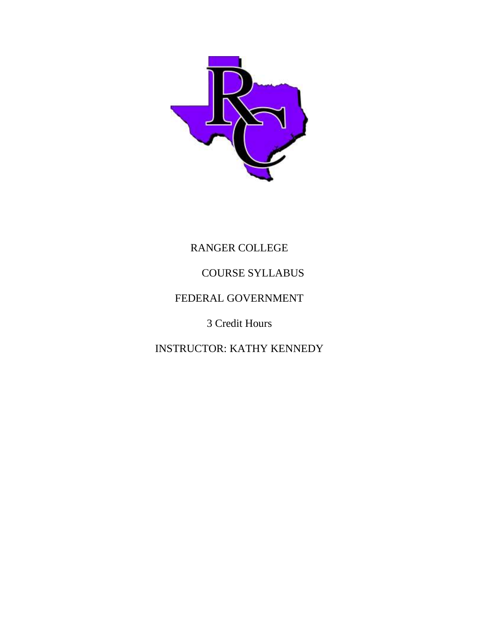

# RANGER COLLEGE

## COURSE SYLLABUS

### FEDERAL GOVERNMENT

3 Credit Hours

INSTRUCTOR: KATHY KENNEDY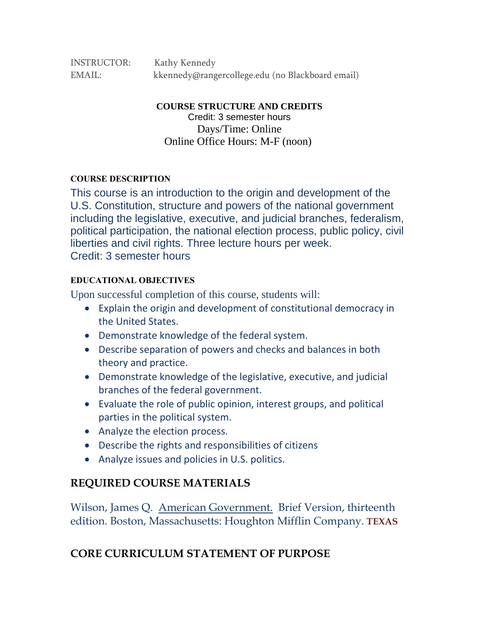INSTRUCTOR: Kathy Kennedy EMAIL: kkennedy@rangercollege.edu (no Blackboard email)

**COURSE STRUCTURE AND CREDITS**

Credit: 3 semester hours Days/Time: Online Online Office Hours: M-F (noon)

#### **COURSE DESCRIPTION**

This course is an introduction to the origin and development of the U.S. Constitution, structure and powers of the national government including the legislative, executive, and judicial branches, federalism, political participation, the national election process, public policy, civil liberties and civil rights. Three lecture hours per week. Credit: 3 semester hours

#### **EDUCATIONAL OBJECTIVES**

Upon successful completion of this course, students will:

- Explain the origin and development of constitutional democracy in the United States.
- Demonstrate knowledge of the federal system.
- Describe separation of powers and checks and balances in both theory and practice.
- Demonstrate knowledge of the legislative, executive, and judicial branches of the federal government.
- Evaluate the role of public opinion, interest groups, and political parties in the political system.
- Analyze the election process.
- Describe the rights and responsibilities of citizens
- Analyze issues and policies in U.S. politics.

#### **REQUIRED COURSE MATERIALS**

Wilson, James Q. American Government. Brief Version, thirteenth edition. Boston, Massachusetts: Houghton Mifflin Company. **TEXAS** 

### **CORE CURRICULUM STATEMENT OF PURPOSE**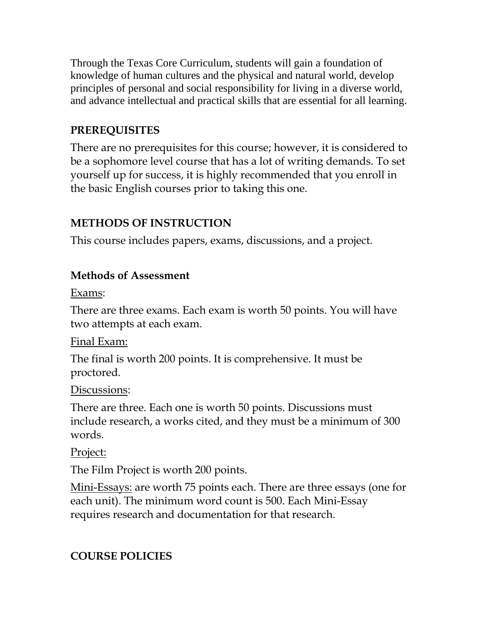Through the Texas Core Curriculum, students will gain a foundation of knowledge of human cultures and the physical and natural world, develop principles of personal and social responsibility for living in a diverse world, and advance intellectual and practical skills that are essential for all learning.

# **PREREQUISITES**

There are no prerequisites for this course; however, it is considered to be a sophomore level course that has a lot of writing demands. To set yourself up for success, it is highly recommended that you enroll in the basic English courses prior to taking this one.

# **METHODS OF INSTRUCTION**

This course includes papers, exams, discussions, and a project.

## **Methods of Assessment**

Exams:

There are three exams. Each exam is worth 50 points. You will have two attempts at each exam.

Final Exam:

The final is worth 200 points. It is comprehensive. It must be proctored.

### Discussions:

There are three. Each one is worth 50 points. Discussions must include research, a works cited, and they must be a minimum of 300 words.

## Project:

The Film Project is worth 200 points.

Mini-Essays: are worth 75 points each. There are three essays (one for each unit). The minimum word count is 500. Each Mini-Essay requires research and documentation for that research.

# **COURSE POLICIES**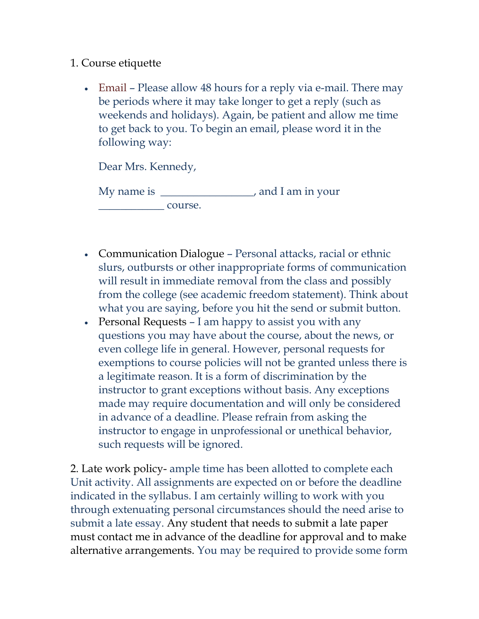#### 1. Course etiquette

• Email – Please allow 48 hours for a reply via e-mail. There may be periods where it may take longer to get a reply (such as weekends and holidays). Again, be patient and allow me time to get back to you. To begin an email, please word it in the following way:

Dear Mrs. Kennedy,

| My name is |         | , and I am in your |
|------------|---------|--------------------|
|            | course. |                    |

- Communication Dialogue Personal attacks, racial or ethnic slurs, outbursts or other inappropriate forms of communication will result in immediate removal from the class and possibly from the college (see academic freedom statement). Think about what you are saying, before you hit the send or submit button.
- Personal Requests I am happy to assist you with any questions you may have about the course, about the news, or even college life in general. However, personal requests for exemptions to course policies will not be granted unless there is a legitimate reason. It is a form of discrimination by the instructor to grant exceptions without basis. Any exceptions made may require documentation and will only be considered in advance of a deadline. Please refrain from asking the instructor to engage in unprofessional or unethical behavior, such requests will be ignored.

2. Late work policy- ample time has been allotted to complete each Unit activity. All assignments are expected on or before the deadline indicated in the syllabus. I am certainly willing to work with you through extenuating personal circumstances should the need arise to submit a late essay. Any student that needs to submit a late paper must contact me in advance of the deadline for approval and to make alternative arrangements. You may be required to provide some form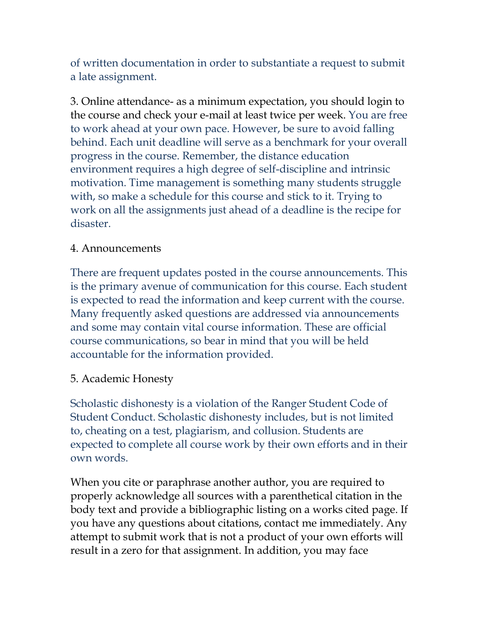of written documentation in order to substantiate a request to submit a late assignment.

3. Online attendance- as a minimum expectation, you should login to the course and check your e-mail at least twice per week. You are free to work ahead at your own pace. However, be sure to avoid falling behind. Each unit deadline will serve as a benchmark for your overall progress in the course. Remember, the distance education environment requires a high degree of self-discipline and intrinsic motivation. Time management is something many students struggle with, so make a schedule for this course and stick to it. Trying to work on all the assignments just ahead of a deadline is the recipe for disaster.

#### 4. Announcements

There are frequent updates posted in the course announcements. This is the primary avenue of communication for this course. Each student is expected to read the information and keep current with the course. Many frequently asked questions are addressed via announcements and some may contain vital course information. These are official course communications, so bear in mind that you will be held accountable for the information provided.

#### 5. Academic Honesty

Scholastic dishonesty is a violation of the Ranger Student Code of Student Conduct. Scholastic dishonesty includes, but is not limited to, cheating on a test, plagiarism, and collusion. Students are expected to complete all course work by their own efforts and in their own words.

When you cite or paraphrase another author, you are required to properly acknowledge all sources with a parenthetical citation in the body text and provide a bibliographic listing on a works cited page. If you have any questions about citations, contact me immediately. Any attempt to submit work that is not a product of your own efforts will result in a zero for that assignment. In addition, you may face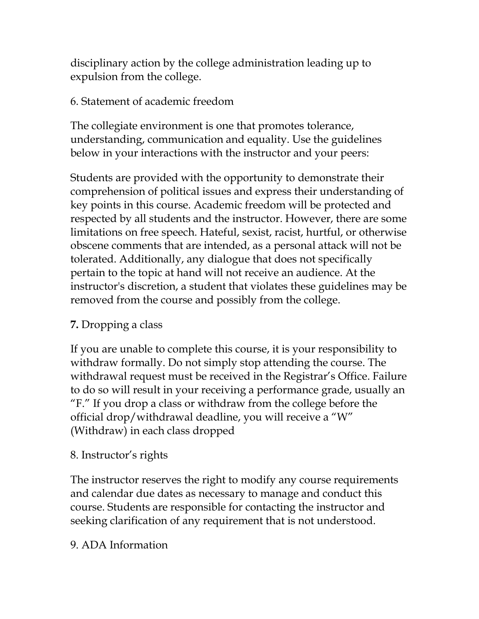disciplinary action by the college administration leading up to expulsion from the college.

### 6. Statement of academic freedom

The collegiate environment is one that promotes tolerance, understanding, communication and equality. Use the guidelines below in your interactions with the instructor and your peers:

Students are provided with the opportunity to demonstrate their comprehension of political issues and express their understanding of key points in this course. Academic freedom will be protected and respected by all students and the instructor. However, there are some limitations on free speech. Hateful, sexist, racist, hurtful, or otherwise obscene comments that are intended, as a personal attack will not be tolerated. Additionally, any dialogue that does not specifically pertain to the topic at hand will not receive an audience. At the instructor's discretion, a student that violates these guidelines may be removed from the course and possibly from the college.

## **7.** Dropping a class

If you are unable to complete this course, it is your responsibility to withdraw formally. Do not simply stop attending the course. The withdrawal request must be received in the Registrar's Office. Failure to do so will result in your receiving a performance grade, usually an "F." If you drop a class or withdraw from the college before the official drop/withdrawal deadline, you will receive a "W" (Withdraw) in each class dropped

### 8. Instructor's rights

The instructor reserves the right to modify any course requirements and calendar due dates as necessary to manage and conduct this course. Students are responsible for contacting the instructor and seeking clarification of any requirement that is not understood.

### 9. ADA Information